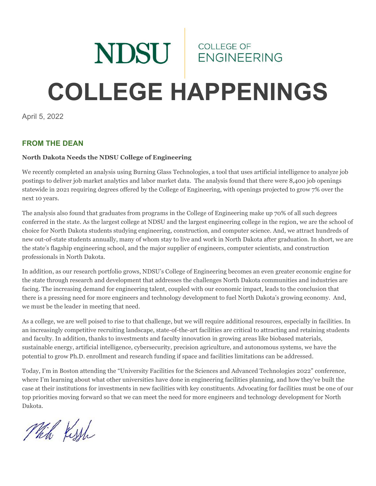# NDSU ENGINEEL **ENGINEERING COLLEGE HAPPENINGS**

April 5, 2022

# **FROM THE DEAN**

#### **North Dakota Needs the NDSU College of Engineering**

We recently completed an analysis using Burning Glass Technologies, a tool that uses artificial intelligence to analyze job postings to deliver job market analytics and labor market data. The analysis found that there were 8,400 job openings statewide in 2021 requiring degrees offered by the College of Engineering, with openings projected to grow 7% over the next 10 years.

The analysis also found that graduates from programs in the College of Engineering make up 70% of all such degrees conferred in the state. As the largest college at NDSU and the largest engineering college in the region, we are the school of choice for North Dakota students studying engineering, construction, and computer science. And, we attract hundreds of new out-of-state students annually, many of whom stay to live and work in North Dakota after graduation. In short, we are the state's flagship engineering school, and the major supplier of engineers, computer scientists, and construction professionals in North Dakota.

In addition, as our research portfolio grows, NDSU's College of Engineering becomes an even greater economic engine for the state through research and development that addresses the challenges North Dakota communities and industries are facing. The increasing demand for engineering talent, coupled with our economic impact, leads to the conclusion that there is a pressing need for more engineers and technology development to fuel North Dakota's growing economy. And, we must be the leader in meeting that need.

As a college, we are well poised to rise to that challenge, but we will require additional resources, especially in facilities. In an increasingly competitive recruiting landscape, state-of-the-art facilities are critical to attracting and retaining students and faculty. In addition, thanks to investments and faculty innovation in growing areas like biobased materials, sustainable energy, artificial intelligence, cybersecurity, precision agriculture, and autonomous systems, we have the potential to grow Ph.D. enrollment and research funding if space and facilities limitations can be addressed.

Today, I'm in Boston attending the "University Facilities for the Sciences and Advanced Technologies 2022" conference, where I'm learning about what other universities have done in engineering facilities planning, and how they've built the case at their institutions for investments in new facilities with key constituents. Advocating for facilities must be one of our top priorities moving forward so that we can meet the need for more engineers and technology development for North Dakota.

Mich Kish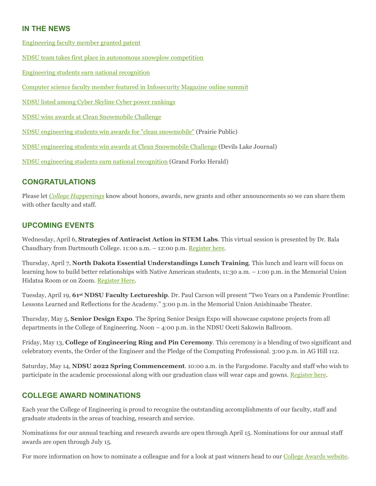## **IN THE NEWS**

[Engineering faculty member granted patent](https://www.ndsu.edu/news/view/detail/68074/)

[NDSU team takes first place in autonomous snowplow competition](https://www.ndsu.edu/news/view/detail/68009/)

[Engineering students earn national recognition](https://www.ndsu.edu/news/view/detail/67981/)

[Computer science faculty member featured in Infosecurity Magazine online summit](https://www.ndsu.edu/news/view/detail/67950/)

[NDSU listed among Cyber Skyline Cyber power rankings](https://www.ndsu.edu/news/view/detail/67928/)

[NDSU wins awards at Clean Snowmobile Challenge](https://www.ndsu.edu/news/view/detail/67900/)

[NDSU engineering students win awards for "clean snowmobile"](https://news.prairiepublic.org/local-news/2022-03-24/ndsu-engineering-students-win-awards-for-clean-snowmobile) (Prairie Public)

[NDSU engineering students win awards at Clean Snowmobile Challenge](https://www.devilslakejournal.com/story/news/2022/03/29/ndsu-engineering-students-win-awards-clean-snowmobile-challenge/7153639001/) (Devils Lake Journal)

[NDSU engineering students earn national recognition](https://www.grandforksherald.com/prairie-business/ndsu-engineering-students-earn-national-recognition) (Grand Forks Herald)

#### **CONGRATULATIONS**

Please let *[College Happenings](mailto:kyle.bosch@ndsu.edu)* know about honors, awards, new grants and other announcements so we can share them with other faculty and staff.

#### **UPCOMING EVENTS**

Wednesday, April 6, **Strategies of Antiracist Action in STEM Labs**. This virtual session is presented by Dr. Bala Chaudhary from Dartmouth College. 11:00 a.m. – 12:00 p.m. [Register here.](https://docs.google.com/forms/d/1dOFUwijDA2HWYEB8F6J0bj5U3DxGLdqWxRZ2D8-p5ok/viewform?edit_requested=true)

Thursday, April 7, **North Dakota Essential Understandings Lunch Training**. This lunch and learn will focus on learning how to build better relationships with Native American students, 11:30 a.m. – 1:00 p.m. in the Memorial Union Hidatsa Room or on Zoom. [Register Here.](https://ndstate.co1.qualtrics.com/jfe/form/SV_06YaAGcSfBhbnVA)

Tuesday, April 19, **61st NDSU Faculty Lectureship**. Dr. Paul Carson will present "Two Years on a Pandemic Frontline: Lessons Learned and Reflections for the Academy." 3:00 p.m. in the Memorial Union Anishinaabe Theater.

Thursday, May 5, **Senior Design Expo**. The Spring Senior Design Expo will showcase capstone projects from all departments in the College of Engineering. Noon – 4:00 p.m. in the NDSU Oceti Sakowin Ballroom.

Friday, May 13, **College of Engineering Ring and Pin Ceremony**. This ceremony is a blending of two significant and celebratory events, the Order of the Engineer and the Pledge of the Computing Professional. 3:00 p.m. in AG Hill 112.

Saturday, May 14, **NDSU 2022 Spring Commencement**. 10:00 a.m. in the Fargodome. Faculty and staff who wish to participate in the academic processional along with our graduation class will wear caps and gowns. [Register here.](https://www.ndsu.edu/commencement/facstaff/)

#### **COLLEGE AWARD NOMINATIONS**

Each year the College of Engineering is proud to recognize the outstanding accomplishments of our faculty, staff and graduate students in the areas of teaching, research and service.

Nominations for our annual teaching and research awards are open through April 15. Nominations for our annual staff awards are open through July 15.

For more information on how to nominate a colleague and for a look at past winners head to our [College Awards website.](https://www.ndsu.edu/coe/faculty_staff/college_awards/)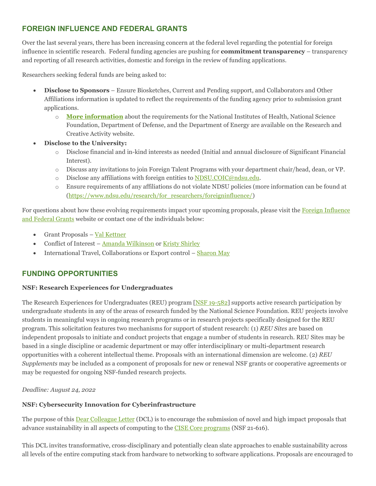# **FOREIGN INFLUENCE AND FEDERAL GRANTS**

Over the last several years, there has been increasing concern at the federal level regarding the potential for foreign influence in scientific research. Federal funding agencies are pushing for **commitment transparency** – transparency and reporting of all research activities, domestic and foreign in the review of funding applications.

Researchers seeking federal funds are being asked to:

- **Disclose to Sponsors** Ensure Biosketches, Current and Pending support, and Collaborators and Other Affiliations information is updated to reflect the requirements of the funding agency prior to submission grant applications.
	- o **[More information](https://www.ndsu.edu/research/for_researchers/foreigninfluence/funding_agency_information/)** about the requirements for the National Institutes of Health, National Science Foundation, Department of Defense, and the Department of Energy are available on the Research and Creative Activity website.
- **Disclose to the University:**
	- o Disclose financial and in-kind interests as needed (Initial and annual disclosure of Significant Financial Interest).
	- o Discuss any invitations to join Foreign Talent Programs with your department chair/head, dean, or VP.
	- o Disclose any affiliations with foreign entities to [NDSU.COIC@ndsu.edu.](mailto:NDSU.COIC@ndsu.edu)
	- o Ensure requirements of any affiliations do not violate NDSU policies (more information can be found at [\(https://www.ndsu.edu/research/for\\_researchers/foreigninfluence/\)](https://www.ndsu.edu/research/for_researchers/foreigninfluence/)

For questions about how these evolving requirements impact your upcoming proposals, please visit the Foreign Influence [and Federal Grants](https://www.ndsu.edu/research/for_researchers/foreigninfluence/) website or contact one of the individuals below:

- Grant Proposals [Val Kettner](mailto:Val.Kettner@ndsu.edu)
- Conflict of Interest [Amanda Wilkinson](mailto:Amanda.Wilkinson@ndsu.edu) o[r Kristy Shirley](mailto:Kristy.Shirley@ndsu.edu)
- International Travel, Collaborations or Export control [Sharon May](mailto:Sharon.May@ndsu.edu)

## **FUNDING OPPORTUNITIES**

#### **NSF: Research Experiences for Undergraduates**

The Research Experiences for Undergraduates (REU) program [\[NSF 19-582\]](https://ndsu.us19.list-manage.com/track/click?u=6c5d98a898bad27df38e6394a&id=28cc9b135b&e=ca813aff99) supports active research participation by undergraduate students in any of the areas of research funded by the National Science Foundation. REU projects involve students in meaningful ways in ongoing research programs or in research projects specifically designed for the REU program. This solicitation features two mechanisms for support of student research: (1) *REU Sites* are based on independent proposals to initiate and conduct projects that engage a number of students in research. REU Sites may be based in a single discipline or academic department or may offer interdisciplinary or multi-department research opportunities with a coherent intellectual theme. Proposals with an international dimension are welcome. (2) *REU Supplements* may be included as a component of proposals for new or renewal NSF grants or cooperative agreements or may be requested for ongoing NSF-funded research projects.

#### *Deadline: August 24, 2022*

#### **NSF: Cybersecurity Innovation for Cyberinfrastructure**

The purpose of this **Dear Colleague Letter** (DCL) is to encourage the submission of novel and high impact proposals that advance sustainability in all aspects of computing to the [CISE Core programs](https://ndsu.us19.list-manage.com/track/click?u=6c5d98a898bad27df38e6394a&id=7029b31bb8&e=ca813aff99) (NSF 21-616).

This DCL invites transformative, cross-disciplinary and potentially clean slate approaches to enable sustainability across all levels of the entire computing stack from hardware to networking to software applications. Proposals are encouraged to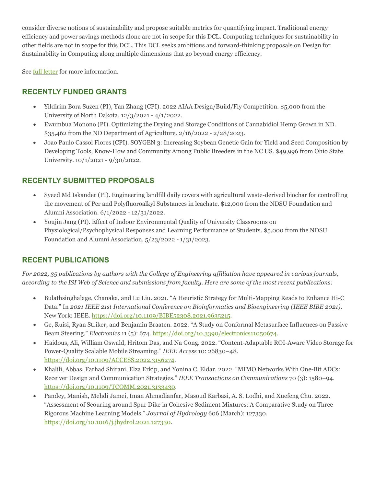consider diverse notions of sustainability and propose suitable metrics for quantifying impact. Traditional energy efficiency and power savings methods alone are not in scope for this DCL. Computing techniques for sustainability in other fields are not in scope for this DCL. This DCL seeks ambitious and forward-thinking proposals on Design for Sustainability in Computing along multiple dimensions that go beyond energy efficiency.

Se[e full letter](https://ndsu.us19.list-manage.com/track/click?u=6c5d98a898bad27df38e6394a&id=2e6f151374&e=ca813aff99) for more information.

## **RECENTLY FUNDED GRANTS**

- Yildirim Bora Suzen (PI), Yan Zhang (CPI). 2022 AIAA Design/Build/Fly Competition. \$5,000 from the University of North Dakota. 12/3/2021 - 4/1/2022.
- Ewumbua Monono (PI). Optimizing the Drying and Storage Conditions of Cannabidiol Hemp Grown in ND. \$35,462 from the ND Department of Agriculture. 2/16/2022 - 2/28/2023.
- Joao Paulo Cassol Flores (CPI). SOYGEN 3: Increasing Soybean Genetic Gain for Yield and Seed Composition by Developing Tools, Know-How and Community Among Public Breeders in the NC US. \$49,996 from Ohio State University. 10/1/2021 - 9/30/2022.

# **RECENTLY SUBMITTED PROPOSALS**

- Syeed Md Iskander (PI). Engineering landfill daily covers with agricultural waste-derived biochar for controlling the movement of Per and Polyfluoroalkyl Substances in leachate. \$12,000 from the NDSU Foundation and Alumni Association. 6/1/2022 - 12/31/2022.
- Youjin Jang (PI). Effect of Indoor Environmental Quality of University Classrooms on Physiological/Psychophysical Responses and Learning Performance of Students. \$5,000 from the NDSU Foundation and Alumni Association. 5/23/2022 - 1/31/2023.

## **RECENT PUBLICATIONS**

*For 2022, 35 publications by authors with the College of Engineering affiliation have appeared in various journals, according to the ISI Web of Science and submissions from faculty. Here are some of the most recent publications:*

- Bulathsinghalage, Chanaka, and Lu Liu. 2021. "A Heuristic Strategy for Multi-Mapping Reads to Enhance Hi-C Data." In *2021 IEEE 21st International Conference on Bioinformatics and Bioengineering (IEEE BIBE 2021)*. New York: IEEE. [https://doi.org/10.1109/BIBE52308.2021.9635215.](https://doi.org/10.1109/BIBE52308.2021.9635215)
- Ge, Ruisi, Ryan Striker, and Benjamin Braaten. 2022. "A Study on Conformal Metasurface Influences on Passive Beam Steering." *Electronics* 11 (5): 674[. https://doi.org/10.3390/electronics11050674.](https://doi.org/10.3390/electronics11050674)
- Haidous, Ali, William Oswald, Hritom Das, and Na Gong. 2022. "Content-Adaptable ROI-Aware Video Storage for Power-Quality Scalable Mobile Streaming." *IEEE Access* 10: 26830–48. [https://doi.org/10.1109/ACCESS.2022.3156274.](https://doi.org/10.1109/ACCESS.2022.3156274)
- Khalili, Abbas, Farhad Shirani, Elza Erkip, and Yonina C. Eldar. 2022. "MIMO Networks With One-Bit ADCs: Receiver Design and Communication Strategies." *IEEE Transactions on Communications* 70 (3): 1580–94. [https://doi.org/10.1109/TCOMM.2021.3133430.](https://doi.org/10.1109/TCOMM.2021.3133430)
- Pandey, Manish, Mehdi Jamei, Iman Ahmadianfar, Masoud Karbasi, A. S. Lodhi, and Xuefeng Chu. 2022. "Assessment of Scouring around Spur Dike in Cohesive Sediment Mixtures: A Comparative Study on Three Rigorous Machine Learning Models." *Journal of Hydrology* 606 (March): 127330. [https://doi.org/10.1016/j.jhydrol.2021.127330.](https://doi.org/10.1016/j.jhydrol.2021.127330)